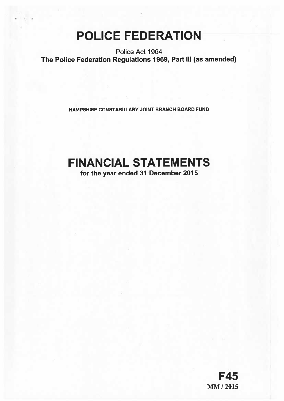# POLICE FEDERATION

Police Act 1964 The Police Federation Regulations 1969, Part Ill (as amended)

HAMPSHIRE CONSTABULARY JOINT BRANCH BOARD FUND

## FINANCIAL STATEMENTS

for the year ended 31 December 2015

F45 MM/2015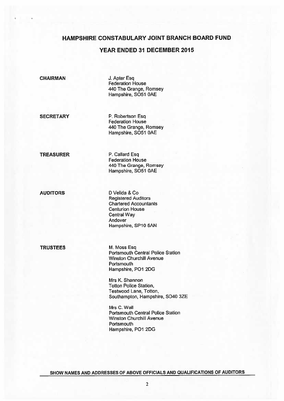## YEAR ENDED 31 DECEMBER 2015

CHAIRMAN J. Apter Esq

Federation House 440 The Grange, Romsey Hampshire, 5051 OAE

SECRETARY P. Robertson Esq. Federation House 440 The Grange, Romsey Hampshire, S051 OAE

TREASURER P. Callard Esq Federation House 440 The Grange, Romsey Hampshire, 5051 OAE

AUDITORS D Velida & Co Registered Auditors Chartered Accountants Centurion House Central Way Andover Hampshire, SP1O 5AN

TRUSTEES M. Moss Esq

Portsmouth Central Police Station Winston Churchill Avenue **Portsmouth** Hampshire, P01 2DG

Mrs K. Shannon **Totton Police Station,** Testwood Lane, Totton, Southampton, Hampshire, 6040 3ZE

Mrs C. Wall Portsmouth Central Police Station Winston Churchill Avenue **Portsmouth** Hampshire, P01 2DG

SHOW NAMES AND ADDRESSES OF ABOVE OFFICIALS AND QUALIFICATIONS OF AUDITORS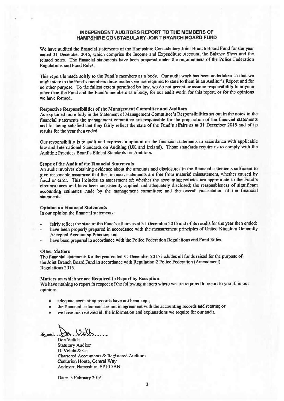#### INDEPENDENT AUDITORS REPORT TO THE MEMBERS OF HAMPSHIRE CONSTABULARY JOINT BRANCH BOARD FUND

We have audited the financial statements of the Hampshire Constabulary Joint Branch Board Fund for the year ended <sup>31</sup> December 2015, which comprise the Income and Expenditure Account, the Balance Sheet and the related notes. The financial statements have been prepared under the requirements of the Police Federation Regulations and Fund Rules.

This repor<sup>t</sup> is made solely to the Fund's members as <sup>a</sup> body. Our audit work has been undertaken so that we might state to the Fund's members those matters we are required to state to them in an Auditor's Report and for no other purpose. To the fullest extent permitted by law, we do not accep<sup>t</sup> or assume responsibility to anyone other than the Fund and the Fund's members as <sup>a</sup> body, for our audit work, for this report, or for the opinions we have formed.

#### Respective Responsibilities of the Management Committee and Auditors

As explained more fully in the Statement of Management Committee's Responsibilities set out in the notes to the financial statements the managemen<sup>t</sup> committee are responsible for the preparation of the financial statements and for being satisfied that they fairly reflect the state of the Fund's affairs as at <sup>31</sup> December <sup>2015</sup> and of its results for the year then ended.

Our responsibility is to audit and express an opinion on the financial statements in accordance with applicable law and International Standards on Auditing (UK and Ireland). Those standards require us to comply with the Auditing Practices Board's Ethical Standards for Auditors.

#### Scope of the Audit of the Financial Statements

An audit involves obtaining evidence about the amounts and disclosures in the financial statements sufficient to <sup>g</sup>ive reasonable assurance that the financial statements are free from material misstatement, whether caused by fraud or error. This includes an assessment of: whether the accounting policies are appropriate to the Fund's circumstances and have been consistently applied and adequately disclosed; the reasonableness of significant accounting estimates made by the managemen<sup>t</sup> committee; and the overall presentation of the financial statements.

#### Opinion on Financial Statements

In our opinion the financial statements:

- fairly reflect the state of the Fund's affairs as at <sup>31</sup> December <sup>2015</sup> and of its results for the year then ended;
- have been properly prepare<sup>d</sup> in accordance with the measurement principles of United Kingdom Generally Accepted Accounting Practice; and
- have been prepare<sup>d</sup> in accordance with the Police Federation Regulations and Fund Rules.

#### Other Matters

The financial statements for the year ended <sup>31</sup> December <sup>2015</sup> includes all funds raised for the purpose of the Joint Branch Board Fund in accordance with Regulation 2 Police Federation (Amendment) Regulations 2015.

#### Matters on which we are Required to Report by Exception

We have nothing to repor<sup>t</sup> in respec<sup>t</sup> of the following matters where we are required to repor<sup>t</sup> to you if, in our opinion:

- •adequate accounting records have not been kept;
- •the financial statements are not in agreemen<sup>t</sup> with the accounting records and returns; or
- •we have not received all the information and explanations we require for our audit.

Signed....

Don Velida Statutory Auditor D. Velida & Co Chartered Accountants & Registered Auditors Centurion House, Central Way Andover, Hampshire, SPIO 5AN

Date: 3 February 2016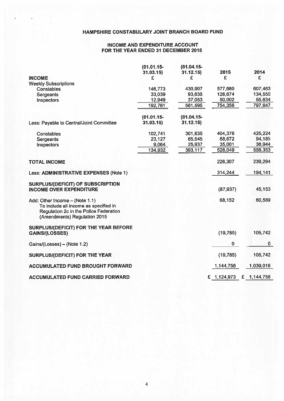## INCOME AND EXPENDITURE ACCOUNT FOR THE YEAR ENDED 31 DECEMBER 2015

|                                                                                                                                                   | $(01.01.15 -$ | $(01.04.15 -$ |             | 2014           |
|---------------------------------------------------------------------------------------------------------------------------------------------------|---------------|---------------|-------------|----------------|
| <b>INCOME</b>                                                                                                                                     | 31.03.15<br>£ | 31.12.15<br>£ | 2015<br>£   | £              |
| <b>Weekly Subscriptions</b>                                                                                                                       |               |               |             |                |
| Constables                                                                                                                                        | 146,773       | 430,907       | 577,680     | 607,463        |
| Sergeants                                                                                                                                         | 33,039        | 93,635        | 126,674     | 134,550        |
| Inspectors                                                                                                                                        | 12,949        | 37,053        | 50,002      | 55,634         |
|                                                                                                                                                   | 192,761       | 561,595       | 754,356     | 797,647        |
|                                                                                                                                                   | $(01.01.15 -$ | $(01.04.15 -$ |             |                |
| Less: Payable to Central/Joint Committee                                                                                                          | 31.03.15      | 31.12.15      |             |                |
| <b>Constables</b>                                                                                                                                 | 102,741       | 301,635       | 404,376     | 425,224        |
| Sergeants                                                                                                                                         | 23,127        | 65,545        | 88,672      | 94,185         |
| Inspectors                                                                                                                                        | 9,064         | 25,937        | 35,001      | 38,944         |
|                                                                                                                                                   | 134,932       | 393,117       | 528,049     | 558,353        |
| <b>TOTAL INCOME</b>                                                                                                                               |               |               | 226,307     | 239,294        |
| Less: ADMINISTRATIVE EXPENSES (Note 1)                                                                                                            |               |               | 314,244     | 194,141        |
| <b>SURPLUS/(DEFICIT) OF SUBSCRIPTION</b><br><b>INCOME OVER EXPENDITURE</b>                                                                        |               |               | (87, 937)   | 45,153         |
| Add: Other Income - (Note 1.1)<br>To include all income as specified in<br>Regulation 2c in the Police Federation<br>(Amendments) Regulation 2015 |               |               | 68,152      | 60,589         |
| SURPLUS/(DEFICIT) FOR THE YEAR BEFORE<br><b>GAINS/(LOSSES)</b>                                                                                    |               |               | (19, 785)   | 105,742        |
| Gains/(Losses) - (Note 1.2)                                                                                                                       |               |               | 0           | $\mathbf{0}$   |
| <b>SURPLUS/(DEFICIT) FOR THE YEAR</b>                                                                                                             |               |               | (19, 785)   | 105,742        |
| <b>ACCUMULATED FUND BROUGHT FORWARD</b>                                                                                                           |               |               | 1,144,758   | 1,039,016      |
| ACCUMULATED FUND CARRIED FORWARD                                                                                                                  |               |               | £ 1,124,973 | £<br>1,144,758 |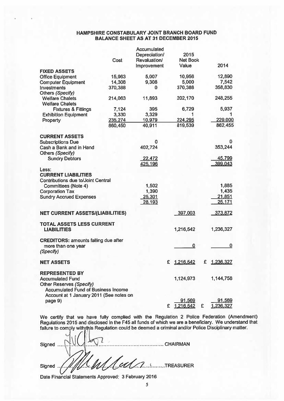### HAMPSHIRE CONSTABULARY JOINT BRANCH BOARD FUND BALANCE SHEET AS AT 31 DECEMBER 2015

|                                             |         | Accumulated   |                       |                            |
|---------------------------------------------|---------|---------------|-----------------------|----------------------------|
|                                             |         | Depreciation/ | 2015                  |                            |
|                                             | Cost    | Revaluation/  | <b>Net Book</b>       |                            |
|                                             |         | Improvement   | Value                 | 2014                       |
| <b>FIXED ASSETS</b>                         |         |               |                       |                            |
| <b>Office Equipment</b>                     | 15,963  | 5,007         | 10,956                | 12,890                     |
|                                             | 14,308  | 9,308         | 5,000                 | 7,542                      |
| <b>Computer Equipment</b>                   |         | 0             | 370,388               | 358,830                    |
| Investments                                 | 370,388 |               |                       |                            |
| Others (Specify)                            |         |               |                       |                            |
| <b>Welfare Chalets</b>                      | 214,063 | 11,893        | 202,170               | 248,255                    |
| <b>Welfare Chalets</b>                      |         |               |                       |                            |
| <b>Fixtures &amp; Fittings</b>              | 7,124   | 395           | 6,729                 | 5,937                      |
| <b>Exhibition Equipment</b>                 | 3,330   | 3,329         |                       |                            |
| Property                                    | 235,274 | 10,979        | 224,295               | 229,000                    |
|                                             | 860,450 | 40,911        | 819,539               | 862,455                    |
|                                             |         |               |                       |                            |
| <b>CURRENT ASSETS</b>                       |         |               |                       |                            |
| <b>Subscriptions Due</b>                    |         | o             |                       | 0                          |
| Cash a Bank and in Hand                     |         | 402,724       |                       | 353,244                    |
| Others (Specify)                            |         |               |                       |                            |
| <b>Sundry Debtors</b>                       |         | 22,472        |                       | 45,799                     |
|                                             |         | 425,196       |                       | 399,043                    |
| Less:                                       |         |               |                       |                            |
| <b>CURRENT LIABILITIES</b>                  |         |               |                       |                            |
| <b>Contributions due to/Joint Central</b>   |         |               |                       |                            |
| <b>Committees (Note 4)</b>                  |         | 1,502         |                       | 1,885                      |
| <b>Corporation Tax</b>                      |         | 1,390         |                       | 1,435                      |
| <b>Sundry Accrued Expenses</b>              |         | 25,301        |                       | 21,851                     |
|                                             |         | 28,193        |                       | 25,171                     |
|                                             |         |               |                       |                            |
| <b>NET CURRENT ASSETS/(LIABILITIES)</b>     |         |               | 397,003               | 373,872                    |
|                                             |         |               |                       |                            |
| TOTAL ASSETS LESS CURRENT                   |         |               |                       |                            |
| <b>LIABILITIES</b>                          |         |               | 1,216,542             | 1,236,327                  |
|                                             |         |               |                       |                            |
| <b>CREDITORS: amounts falling due after</b> |         |               |                       |                            |
| more than one year                          |         |               | 0                     | $\bf{0}$                   |
| (Specify)                                   |         |               |                       |                            |
|                                             |         |               |                       |                            |
| NET ASSETS                                  |         |               | £<br><u>1,216,542</u> | £.<br><u>1,236,327</u>     |
|                                             |         |               |                       |                            |
| <b>REPRESENTED BY</b>                       |         |               |                       |                            |
| <b>Accumulated Fund</b>                     |         |               | 1,124,973             | 1,144,758                  |
| Other Reserves (Specify)                    |         |               |                       |                            |
| <b>Accumulated Fund of Business Income</b>  |         |               |                       |                            |
| Account at 1 January 2011 (See notes on     |         |               |                       |                            |
|                                             |         |               | 91,569                |                            |
| page 9)                                     |         |               | 1.216.542             | <u>91,569</u><br>1.236.327 |
|                                             |         |               | £.                    | £                          |

We certify that we have fully complied with the Regulation <sup>2</sup> Police Federation (Amendment) Regulations <sup>2015</sup> and disclosed in the F45 all funds of which we are <sup>a</sup> beneficiary. We understand that

|        |                         | failure to comply with this Regulation could be deemed a criminal and/or Police Disciplinary matter. |  |
|--------|-------------------------|------------------------------------------------------------------------------------------------------|--|
| Signed | CHAIRMAN                |                                                                                                      |  |
|        |                         |                                                                                                      |  |
|        | Signed //// W// W// CU/ |                                                                                                      |  |

Date Financial Statements Approved: 3 February 2016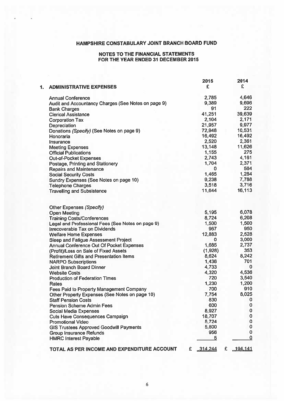#### NOTES TO THE FINANCIAL STATEMENTS FOR THE YEAR ENDED 31 DECEMBER 2015

|    |                                                     |   | 2015       |   | 2014        |
|----|-----------------------------------------------------|---|------------|---|-------------|
| 1. | <b>ADMINISTRATIVE EXPENSES</b>                      |   | £          |   | £           |
|    | <b>Annual Conference</b>                            |   | 2,785      |   | 4,646       |
|    | Audit and Accountancy Charges (See Notes on page 9) |   | 9,389      |   | 9,696       |
|    | <b>Bank Charges</b>                                 |   | 91         |   | 222         |
|    | <b>Clerical Assistance</b>                          |   | 41,251     |   | 39,639      |
|    | <b>Corporation Tax</b>                              |   | 2,104      |   | 2,171       |
|    | Depreciation                                        |   | 21,957     |   | 9,977       |
|    | Donations (Specify) (See Notes on page 9)           |   | 72,948     |   | 10,531      |
|    | Honoraria                                           |   | 16,492     |   | 16,492      |
|    | Insurance                                           |   | 2,520      |   | 2,361       |
|    | <b>Meeting Expenses</b>                             |   | 13,148     |   | 11,626      |
|    | <b>Official Publications</b>                        |   | 1,155      |   | 275         |
|    | <b>Out-of-Pocket Expenses</b>                       |   | 2,743      |   | 4,161       |
|    | Postage, Printing and Stationery                    |   | 1,704      |   | 2,371       |
|    | <b>Repairs and Maintenance</b>                      |   | 0          |   | 564         |
|    | <b>Social Security Costs</b>                        |   | 1,465      |   | 1,284       |
|    | Sundry Expenses (See Notes on page 10)              |   | 9,238      |   | 7,788       |
|    | <b>Telephone Charges</b>                            |   | 3,518      |   | 3,716       |
|    | <b>Travelling and Subsistence</b>                   |   | 11,644     |   | 16,113      |
|    |                                                     |   |            |   |             |
|    | Other Expenses (Specify)                            |   |            |   |             |
|    | <b>Open Meeting</b>                                 |   | 5,195      |   | 6,078       |
|    | <b>Training Costs/Conferences</b>                   |   | 8,724      |   | 6,208       |
|    | Legal and Professional Fees (See Notes on page 9)   |   | 1,500      |   | 1,500       |
|    | <b>Irrecoverable Tax on Dividends</b>               |   | 967        |   | 950         |
|    | <b>Welfare Home Expenses</b>                        |   | 12,883     |   | 2,528       |
|    | Sleep and Fatigue Assessment Project                |   | 0          |   | 3,000       |
|    | <b>Annual Conference Out Of Pocket Expenses</b>     |   | 1,685      |   | 2,737       |
|    | (Profit)/Loss on Sale of Fixed Assets               |   | (1,928)    |   | 353         |
|    | <b>Retirement Gifts and Presentation Items</b>      |   | 8,624      |   | 8,242       |
|    | <b>NARPO Subscriptions</b>                          |   | 1,436      |   | 701         |
|    | <b>Joint Branch Board Dinner</b>                    |   | 4,733      |   | $\mathbf 0$ |
|    | <b>Website Costs</b>                                |   | 4,320      |   | 4,536       |
|    | <b>Production of Federation Times</b>               |   | 720        |   | 3,540       |
|    | <b>Rates</b>                                        |   | 1,230      |   | 1,200       |
|    | Fees Paid to Property Management Company            |   | 700        |   | 910         |
|    |                                                     |   | 7,754      |   | 8,025       |
|    | Other Property Expenses (See Notes on page 10)      |   | 830        |   | 0           |
|    | <b>Staff Pension Costs</b>                          |   | 600        |   | $\bf{0}$    |
|    | <b>Pension Scheme Admin Fees</b>                    |   |            |   | $\pmb{0}$   |
|    | <b>Social Media Expenses</b>                        |   | 8,927      |   |             |
|    | <b>Cuts Have Consequences Campaign</b>              |   | 18,707     |   | $\bf{0}$    |
|    | <b>Promotional Video</b>                            |   | 5,724      |   | $\bf{0}$    |
|    | <b>GIS Trustees Approved Goodwill Payments</b>      |   | 5,800      |   | 0           |
|    | <b>Group Insurance Refunds</b>                      |   | 956        |   | $\mathbf 0$ |
|    | <b>HMRC Interest Payable</b>                        |   | 5          |   | $\mathbf 0$ |
|    | TOTAL AS PER INCOME AND EXPENDITURE ACCOUNT         | £ | $-314,244$ | £ | 194,141     |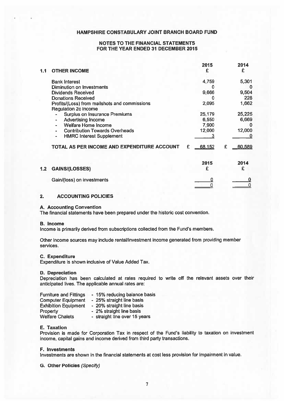#### NOTES TO THE FINANCIAL STATEMENTS FOR THE YEAR ENDED 31 DECEMBER 2015

| 1.1 | <b>OTHER INCOME</b>                                                                                                                                                                                | 2015                               | 2014<br>£                      |
|-----|----------------------------------------------------------------------------------------------------------------------------------------------------------------------------------------------------|------------------------------------|--------------------------------|
|     | <b>Bank Interest</b><br><b>Diminution on Investments</b><br><b>Dividends Received</b><br><b>Donations Received</b><br>Profits/(Loss) from mailshots and commissions<br><b>Regulation 2c income</b> | 4,759<br>9,666<br>2,095            | 5,301<br>9,504<br>228<br>1,662 |
|     | <b>Surplus on Insurance Premiums</b><br><b>Advertising Income</b><br>Welfare Home Income<br><b>Contribution Towards Overheads</b><br><b>HMRC Interest Supplement</b><br>$\blacksquare$             | 25,179<br>6,550<br>7,900<br>12,000 | 25,225<br>6,669<br>12,000      |
|     | TOTAL AS PER INCOME AND EXPENDITURE ACCOUNT                                                                                                                                                        | 68,152<br>£                        | 60,589<br>£                    |
| 1.2 | <b>GAINS/(LOSSES)</b>                                                                                                                                                                              | 2015<br>£                          | 2014<br>£                      |
|     | Gain/(loss) on investments                                                                                                                                                                         | n                                  |                                |

## 2. ACCOUNTING POLICIES

#### A. Accounting Convention

The financial statements have been prepared under the historic cost convention.

#### B. Income

Income is primarily derived from subscriptions collected from the Fund's members.

Other income sources may include rental/investment income generated from providing member services.

#### C. Expenditure

Expenditure is shown inclusive of Value Added Tax.

#### D. Depreciation

Depreciation has been calculated at rates required to write off the relevant assets over their anticipated lives, The applicable annual rates are:

| <b>Furniture and Fittings</b> | - 15% reducing balance basis  |
|-------------------------------|-------------------------------|
| <b>Computer Equipment</b>     | - 25% straight line basis     |
| <b>Exhibition Equipment</b>   | - 20% straight line basis     |
| Property                      | - 2% straight line basis      |
| <b>Welfare Chalets</b>        | - straight line over 15 years |

#### E. Taxation

Provision is made for Corporation Tax in respec<sup>t</sup> of the Fund's liability to taxation on investment income, capital gains and income derived from third party transactions.

#### F. Investments

Investments are shown in the financial statements at cost less provision far impairment in value.

G. Other Policies (Specify)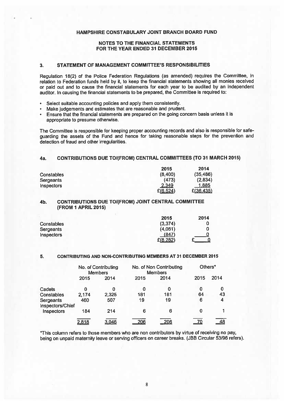#### NOTES TO THE FINANCIAL STATEMENTS FOR THE YEAR ENDED 31 DECEMBER 2015

#### 3. STATEMENT OF MANAGEMENT COMMITTEE'S RESPONSIBILITIES

Regulation 18(2) of the Police Federation Regulations (as amended) requires the Committee, in relation to Federation funds held by it, to keep the financial statements showing all monies received or paid out and to cause the financial statements for each year to be audited by an independent auditor. In causing the financial statements to be prepared, the Committee is required to:

- •Select suitable accounting policies and apply them consistently.
- •Make judgements and estimates that are reasonable and prudent.
- • Ensure that the financial statements are prepared on the going concern basis unless it is appropriate to presume otherwise.

The Committee is responsible for keeping proper accounting records and also is responsible for safe guarding the assets of the Fund and hence for taking reasonable steps for the prevention and detection of fraud and other irregularities.

#### 4a. CONTRIBUTIONS DUE TO/(FROM) CENTRAL COMMITtEES (TO 31 MARCH 2015)

|                   | 2015      | 2014      |
|-------------------|-----------|-----------|
| Constables        | (8,400)   | (35, 486) |
| <b>Sergeants</b>  | (473)     | (2,834)   |
| <b>Inspectors</b> | 2,349     | 1.885     |
|                   | E(6, 524) | £(36,435) |

#### 4b. CONTRIBUTIONS DUE TO/(FROM) JOINT CENTRAL COMMITTEE (FROM 1 APRIL 2015)

|                   | 2015     | 2014 |
|-------------------|----------|------|
| <b>Constables</b> | (3, 374) |      |
| Sergeants         | (4,061)  |      |
| <b>Inspectors</b> | (847)    |      |
|                   | E(8,282) |      |

#### 5. CONTRIBUTING AND NON-CONTRIBUTING MEMBERS AT 31 DECEMBER 2a15

|                                                                                                                                      |                     |                        |      |                                                                                 | HAMPSHIRE CONSTABULARY JOINT BRANCH BOARD FUND                                                                                                                                                                                                                                                                                                                       |
|--------------------------------------------------------------------------------------------------------------------------------------|---------------------|------------------------|------|---------------------------------------------------------------------------------|----------------------------------------------------------------------------------------------------------------------------------------------------------------------------------------------------------------------------------------------------------------------------------------------------------------------------------------------------------------------|
|                                                                                                                                      |                     |                        |      |                                                                                 |                                                                                                                                                                                                                                                                                                                                                                      |
|                                                                                                                                      |                     |                        |      | <b>NOTES TO THE FINANCIAL STATEMENTS</b><br>FOR THE YEAR ENDED 31 DECEMBER 2015 |                                                                                                                                                                                                                                                                                                                                                                      |
| 3.                                                                                                                                   |                     |                        |      | STATEMENT OF MANAGEMENT COMMITTEE'S RESPONSIBILITIES                            |                                                                                                                                                                                                                                                                                                                                                                      |
|                                                                                                                                      |                     |                        |      |                                                                                 | Regulation 18(2) of the Police Federation Regulations (as amended) requires the Co<br>relation to Federation funds held by it, to keep the financial statements showing all mon<br>or paid out and to cause the financial statements for each year to be audited by an<br>auditor. In causing the financial statements to be prepared, the Committee is required to: |
| Select suitable accounting policies and apply them consistently.<br>$\bullet$<br>$\bullet$<br>۰<br>appropriate to presume otherwise. |                     |                        |      | Make judgements and estimates that are reasonable and prudent.                  | Ensure that the financial statements are prepared on the going concern basis unless it                                                                                                                                                                                                                                                                               |
| detection of fraud and other irregularities.                                                                                         |                     |                        |      |                                                                                 | The Committee is responsible for keeping proper accounting records and also is respons<br>guarding the assets of the Fund and hence for taking reasonable steps for the pre                                                                                                                                                                                          |
| 4a.                                                                                                                                  |                     |                        |      |                                                                                 | <b>CONTRIBUTIONS DUE TO/(FROM) CENTRAL COMMITTEES (TO 31 MARCH</b>                                                                                                                                                                                                                                                                                                   |
| <b>Constables</b><br><b>Sergeants</b><br>Inspectors                                                                                  |                     |                        |      | 2015<br>(8,400)<br>(473)<br>2,349<br>E(6, 524)                                  | 2014<br>(35, 486)<br>(2,834)<br>1,885<br>E(36, 435)                                                                                                                                                                                                                                                                                                                  |
| 4b.                                                                                                                                  | (FROM 1 APRIL 2015) |                        |      | <b>CONTRIBUTIONS DUE TO/(FROM) JOINT CENTRAL COMMITTEE</b>                      |                                                                                                                                                                                                                                                                                                                                                                      |
|                                                                                                                                      |                     |                        |      |                                                                                 |                                                                                                                                                                                                                                                                                                                                                                      |
| <b>Constables</b>                                                                                                                    |                     |                        |      | 2015<br>(3, 374)                                                                | 2014<br>0                                                                                                                                                                                                                                                                                                                                                            |
| Sergeants                                                                                                                            |                     |                        |      | (4,061)                                                                         | 0                                                                                                                                                                                                                                                                                                                                                                    |
| Inspectors                                                                                                                           |                     |                        |      | (847)<br>£(8,282)                                                               | 0<br>0                                                                                                                                                                                                                                                                                                                                                               |
| 5.                                                                                                                                   |                     |                        |      |                                                                                 | <b>CONTRIBUTING AND NON-CONTRIBUTING MEMBERS AT 31 DECEMBER 2015</b>                                                                                                                                                                                                                                                                                                 |
|                                                                                                                                      |                     | No. of Contributing    |      | No. of Non Contributing                                                         | Others <sup>*</sup>                                                                                                                                                                                                                                                                                                                                                  |
|                                                                                                                                      | 2015                | <b>Members</b><br>2014 | 2015 | <b>Members</b><br>2014                                                          | 2014<br>2015                                                                                                                                                                                                                                                                                                                                                         |
| Cadets                                                                                                                               | 0                   | 0                      | 0    | 0                                                                               | 0<br>0                                                                                                                                                                                                                                                                                                                                                               |
| <b>Constables</b>                                                                                                                    | 2,174               | 2,325                  | 181  | 181                                                                             | 64<br>43                                                                                                                                                                                                                                                                                                                                                             |
| Sergeants                                                                                                                            | 460                 | 507                    | 19   | 19                                                                              | 6<br>4                                                                                                                                                                                                                                                                                                                                                               |
| Inspectors/Chief<br>Inspectors                                                                                                       | 184                 | 214                    | 6    | 6                                                                               | 1<br>$\mathbf 0$                                                                                                                                                                                                                                                                                                                                                     |
|                                                                                                                                      | 2,818               | 3,046                  | 206  | 206                                                                             | 70<br>48                                                                                                                                                                                                                                                                                                                                                             |

This column refers to those members who are non contributors by virtue of receiving no pay, being on unpaid maternity leave or serving officers on career breaks. (JBB Circular 53/96 refers).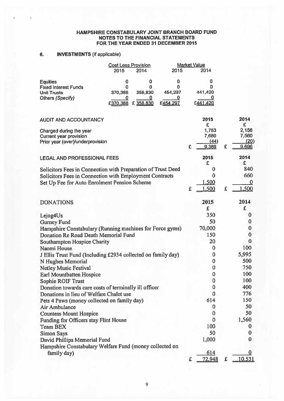#### HAMPSHIRE CONSTABULARY JOINT BRANCH BOARD FUND NOTES TO THE FINANCIAL STATEMENTS FOR THE YEAR ENDED 31 DECEMBER 2015

## 6. INVESTMENTS (if applicable)

|                             | <b>Cost Less Provision</b> |           | <b>Market Value</b> |         |  |
|-----------------------------|----------------------------|-----------|---------------------|---------|--|
|                             | 2015                       | 2014      | 2015                | 2014    |  |
| <b>Equities</b>             |                            | 0         |                     | O       |  |
| <b>Fixed Interest Funds</b> | 0                          | 0         |                     |         |  |
| <b>Unit Trusts</b>          | 370,388                    | 358,830   | 454,297             | 441,420 |  |
| Others (Specify)            |                            |           |                     |         |  |
|                             | £370,388                   | £ 358,830 | £454.297            | £441.4  |  |

| <b>AUDIT AND ACCOUNTANCY</b>                                 |   | 2015<br>£ |   | 2014<br>£ |
|--------------------------------------------------------------|---|-----------|---|-----------|
| Charged during the year                                      |   | 1,753     |   | 2,156     |
| Current year provision                                       |   | 7,680     |   | 7,560     |
| Prior year (over)/underprovision                             |   | (44)      |   | (20)      |
|                                                              | £ | 9,389     | £ | 9,696     |
| <b>LEGAL AND PROFESSIONAL FEES</b>                           |   | 2015<br>£ |   | 2014<br>£ |
| Solicitors Fees in Connection with Preparation of Trust Deed |   | 0         |   | 840       |
| Solicitors Fees in Connection with Employment Contracts      |   | $\bf{0}$  |   | 660       |
| Set Up Fee for Auto Enrolment Pension Scheme                 |   | 1,500     |   | 0         |
|                                                              | £ | 1,500     | £ | 1,500     |
| <b>DONATIONS</b>                                             |   | 2015      |   | 2014      |
|                                                              |   | £         |   | £         |
| Lejog4Us                                                     |   | 350       |   | 0         |
| <b>Gurney Fund</b>                                           |   | 50        |   | $\bf{0}$  |
| Hampshire Constabulary (Running machines for Force gyms)     |   | 70,000    |   | $\bf{0}$  |
| Donation Re Road Death Memorial Fund                         |   | 150       |   | $\bf{0}$  |
| <b>Southampton Hospice Charity</b>                           |   | 20        |   | $\bf{0}$  |
| Naomi House                                                  |   | $\bf{0}$  |   | 100       |
| J Ellis Trust Fund (Including £2934 collected on family day) |   | 0         |   | 5,995     |
| N Hughes Memorial                                            |   | 0         |   | 500       |
| <b>Netley Music Festival</b>                                 |   | $\bf{0}$  |   | 750       |
| Earl Mountbatten Hospice                                     |   | $\bf{0}$  |   | 100       |
| Sophie ROIF Trust                                            |   | $\bf{0}$  |   | 100       |
| Donation towards care costs of terminally ill officer        |   | $\bf{0}$  |   | 400       |
| Donations in lieu of Welfare Chalet use                      |   | $\bf{0}$  |   | 776       |
| Pets 4 Paws (money collected on family day)                  |   | 614       |   | 150       |
| Air Ambulance                                                |   | $\bf{0}$  |   | 50        |
| <b>Countess Mount Hospice</b>                                |   | $\bf{0}$  |   | 50        |
| Funding for Officers stay Flint House                        |   | $\bf{0}$  |   | 1,560     |
| <b>Team BEX</b>                                              |   | 100       |   | 0         |
| <b>Simon Says</b>                                            |   | 50        |   | 0         |
| David Phillips Memorial Fund                                 |   | 1,000     |   | 0         |
| Hampshire Constabulary Welfare Fund (money collected on      |   |           |   |           |
| family day)                                                  |   | 614       |   |           |
|                                                              | £ | 72,948    | £ | 10,531    |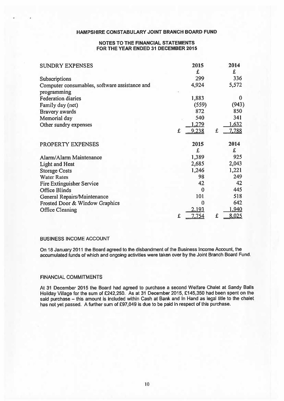#### NOTES TO THE FINANCIAL STATEMENTS FOR THE YEAR ENDED 31 DECEMBER 2015

| <b>SUNDRY EXPENSES</b>                        |   | 2015  |   | 2014     |
|-----------------------------------------------|---|-------|---|----------|
|                                               |   | £     |   | £        |
| Subscriptions                                 |   | 299   |   | 336      |
| Computer consumables, software assistance and |   | 4,924 |   | 5,572    |
| programming                                   |   |       |   |          |
| <b>Federation diaries</b>                     |   | 1,883 |   | $\bf{0}$ |
| Family day (net)                              |   | (559) |   | (943)    |
| Bravery awards                                |   | 872   |   | 850      |
| Memorial day                                  |   | 540   |   | 341      |
| Other sundry expenses                         |   | 1,279 |   | 1,632    |
|                                               | £ | 9,238 | £ | 7,788    |
| PROPERTY EXPENSES                             |   | 2015  |   | 2014     |
|                                               |   | £     |   | £        |
| Alarm/Alarm Maintenance                       |   | 1,389 |   | 925      |
| Light and Heat                                |   | 2,685 |   | 2,043    |
| <b>Storage Costs</b>                          |   | 1,246 |   | 1,221    |
| <b>Water Rates</b>                            |   | 98    |   | 249      |
| <b>Fire Extinguisher Service</b>              |   | 42    |   | 42       |
| <b>Office Blinds</b>                          |   | 0     |   | 445      |
| General Repairs/Maintenance                   |   | 101   |   | 518      |
| Frosted Door & Window Graphics                |   | 0     |   | 642      |
| <b>Office Cleaning</b>                        |   | 2,193 |   | 1,940    |
|                                               | £ | 7,754 | £ | 8,025    |

## BUSINESS INCOME ACCOUNT

On <sup>18</sup> January <sup>2011</sup> the Board agree<sup>d</sup> to the disbandment of the Business Income Account, the accumulated funds of which and ongoing activities were taken over by the Joint Branch Board Fund.

#### FINANCIAL COMMITMENTS

At 31 December 2015 the Board had agreed to purchase <sup>a</sup> second Welfare Chalet at Sandy Balls Holiday Village for the sum of £242,250. As at 31 December 2015, £145,350 had been spent on the said purchase — this amount is included within Cash at Bank and In Hand as legal title to the chalet has not ye<sup>t</sup> passed. <sup>A</sup> further sum of £97,049 is due to be paid in respec<sup>t</sup> of this purchase.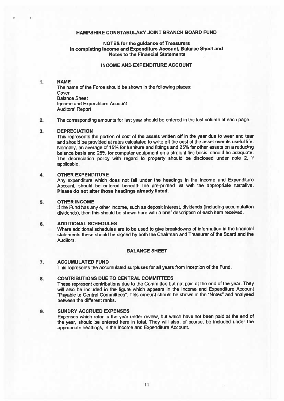#### NOTES for the guidance of Treasurers in completing Income and Expenditure Account, Balance Sheet and Notes to the Financial Statements

## INCOME AND EXPENDITURE ACCOUNT

#### 1. NAME

The name of the Force should be shown in the following places: Cover Balance Sheet Income and Expenditure Account Auditors' Report

#### 2. The corresponding amounts for last year should be entered in the last column of each page.

#### 3. DEPRECIATION

This represents the portion of cost of the assets written off in the year due to wear and tear and should be provided at rates calculated to write off the cost of the asset over its useful life. Normally, an average of 15% for furniture and fittings and 25% for other assets on <sup>a</sup> reducing balance basis and 25% for computer equipment on <sup>a</sup> straight line basis, should be adequate. The depreciation policy with regar<sup>d</sup> to property should be disclosed under note 2, if applicable.

#### 4. OTHER EXPENDITURE

Any expenditure which does not fall under the headings in the Income and Expenditure Account, should be entered beneath the pre-printed list with the appropriate narrative. Please do not alter those headings already listed.

#### 5. OTHER INCOME

If the Fund has any other income, such as deposit interest, dividends (including accumulation dividends), then this should be shown here with <sup>a</sup> brief description of each item received.

#### 6. ADDITIONAL SCHEDULES

Where additional schedules are to be used to <sup>g</sup>ive breakdowns of information in the financial statements these should be signed by both the Chairman and Treasurer of the Board and the Auditors.

#### BALANCE SHEET

#### 7. ACCUMULATED FUND

This represents the accumulated surpluses for all years from inception of the Fund.

## 8. CONTRIBUTIONS DUE TO CENTRAL COMMITTEES

These represen<sup>t</sup> contributions due to the Committee but not paid at the end of the year. They will also be included in the figure which appears in the Income and Expenditure Account "Payable to Central Committees". This amount should be shown in the "Notes" and analysed between the different ranks.

#### 9. SUNDRY ACCRUED EXPENSES

Expenses which refer to the year under review, but which have not been paid at the end of the year, should be entered here in total. They will also, of course, be included under the appropriate headings, in the Income and Expenditure Account.